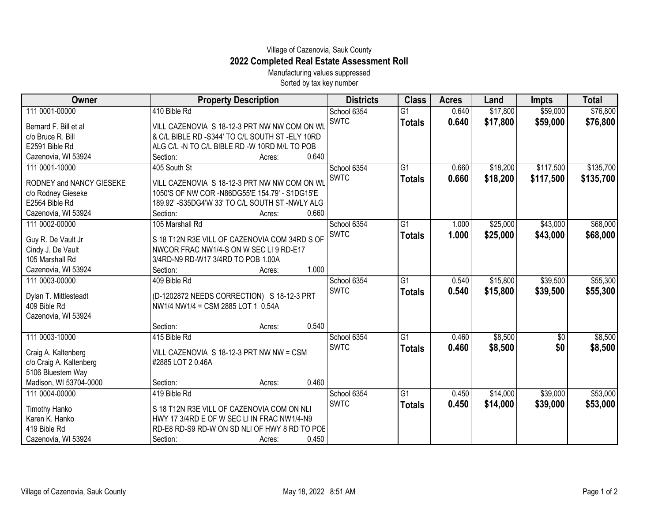## Village of Cazenovia, Sauk County **2022 Completed Real Estate Assessment Roll**

Manufacturing values suppressed Sorted by tax key number

| <b>Owner</b>                          | <b>Property Description</b>                                                      | <b>Districts</b>           | <b>Class</b>    | <b>Acres</b> | Land     | <b>Impts</b> | <b>Total</b> |
|---------------------------------------|----------------------------------------------------------------------------------|----------------------------|-----------------|--------------|----------|--------------|--------------|
| 111 0001-00000                        | 410 Bible Rd                                                                     | School 6354                | $\overline{G1}$ | 0.640        | \$17,800 | \$59,000     | \$76,800     |
| Bernard F. Bill et al                 | VILL CAZENOVIA S 18-12-3 PRT NW NW COM ON WL                                     | <b>SWTC</b>                | <b>Totals</b>   | 0.640        | \$17,800 | \$59,000     | \$76,800     |
| c/o Bruce R. Bill                     | & C/L BIBLE RD -S344' TO C/L SOUTH ST -ELY 10RD                                  |                            |                 |              |          |              |              |
| E2591 Bible Rd                        | ALG C/L -N TO C/L BIBLE RD -W 10RD M/L TO POB                                    |                            |                 |              |          |              |              |
| Cazenovia, WI 53924                   | 0.640<br>Section:<br>Acres:                                                      |                            |                 |              |          |              |              |
| 111 0001-10000                        | 405 South St                                                                     | School 6354                | $\overline{G1}$ | 0.660        | \$18,200 | \$117,500    | \$135,700    |
| RODNEY and NANCY GIESEKE              | VILL CAZENOVIA S 18-12-3 PRT NW NW COM ON WL                                     | <b>SWTC</b>                | <b>Totals</b>   | 0.660        | \$18,200 | \$117,500    | \$135,700    |
| c/o Rodney Gieseke                    | 1050'S OF NW COR -N86DG55'E 154.79' - S1DG15'E                                   |                            |                 |              |          |              |              |
| E2564 Bible Rd                        | 189.92' - S35DG4'W 33' TO C/L SOUTH ST - NWLY ALG                                |                            |                 |              |          |              |              |
| Cazenovia, WI 53924                   | 0.660<br>Section:<br>Acres:                                                      |                            |                 |              |          |              |              |
| 111 0002-00000                        | 105 Marshall Rd                                                                  | School 6354<br><b>SWTC</b> | $\overline{G1}$ | 1.000        | \$25,000 | \$43,000     | \$68,000     |
| Guy R. De Vault Jr                    | S 18 T12N R3E VILL OF CAZENOVIA COM 34RD S OF                                    |                            | <b>Totals</b>   | 1.000        | \$25,000 | \$43,000     | \$68,000     |
| Cindy J. De Vault                     | NWCOR FRAC NW1/4-S ON W SEC LI 9 RD-E17                                          |                            |                 |              |          |              |              |
| 105 Marshall Rd                       | 3/4RD-N9 RD-W17 3/4RD TO POB 1.00A                                               |                            |                 |              |          |              |              |
| Cazenovia, WI 53924                   | 1.000<br>Section:<br>Acres:                                                      |                            |                 |              |          |              |              |
| 111 0003-00000                        | 409 Bible Rd                                                                     | School 6354                | G1              | 0.540        | \$15,800 | \$39,500     | \$55,300     |
|                                       |                                                                                  | <b>SWTC</b>                | <b>Totals</b>   | 0.540        | \$15,800 | \$39,500     | \$55,300     |
| Dylan T. Mittlesteadt<br>409 Bible Rd | (D-1202872 NEEDS CORRECTION) S 18-12-3 PRT<br>NW1/4 NW1/4 = CSM 2885 LOT 1 0.54A |                            |                 |              |          |              |              |
| Cazenovia, WI 53924                   |                                                                                  |                            |                 |              |          |              |              |
|                                       | 0.540<br>Section:<br>Acres:                                                      |                            |                 |              |          |              |              |
| 111 0003-10000                        | 415 Bible Rd                                                                     | School 6354                | $\overline{G1}$ | 0.460        | \$8,500  | \$0          | \$8,500      |
|                                       |                                                                                  | <b>SWTC</b>                |                 | 0.460        |          | \$0          |              |
| Craig A. Kaltenberg                   | VILL CAZENOVIA S 18-12-3 PRT NW NW = CSM                                         |                            | <b>Totals</b>   |              | \$8,500  |              | \$8,500      |
| c/o Craig A. Kaltenberg               | #2885 LOT 20.46A                                                                 |                            |                 |              |          |              |              |
| 5106 Bluestem Way                     |                                                                                  |                            |                 |              |          |              |              |
| Madison, WI 53704-0000                | 0.460<br>Section:<br>Acres:                                                      |                            |                 |              |          |              |              |
| 111 0004-00000                        | 419 Bible Rd                                                                     | School 6354<br><b>SWTC</b> | $\overline{G1}$ | 0.450        | \$14,000 | \$39,000     | \$53,000     |
| <b>Timothy Hanko</b>                  | S 18 T12N R3E VILL OF CAZENOVIA COM ON NLI                                       |                            | <b>Totals</b>   | 0.450        | \$14,000 | \$39,000     | \$53,000     |
| Karen K. Hanko                        | HWY 17 3/4RD E OF W SEC LI IN FRAC NW1/4-N9                                      |                            |                 |              |          |              |              |
| 419 Bible Rd                          | RD-E8 RD-S9 RD-W ON SD NLI OF HWY 8 RD TO POE                                    |                            |                 |              |          |              |              |
| Cazenovia, WI 53924                   | 0.450<br>Section:<br>Acres:                                                      |                            |                 |              |          |              |              |